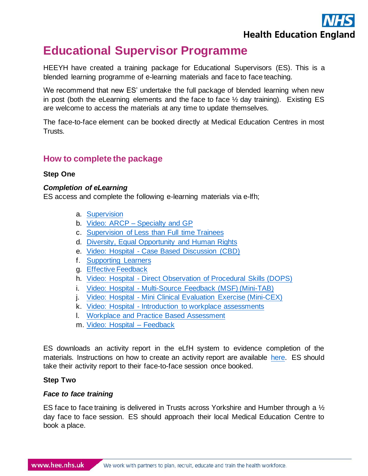

# **Educational Supervisor Programme**

HEEYH have created a training package for Educational Supervisors (ES). This is a blended learning programme of e-learning materials and face to face teaching.

We recommend that new ES' undertake the full package of blended learning when new in post (both the eLearning elements and the face to face ½ day training). Existing ES are welcome to access the materials at any time to update themselves.

The face-to-face element can be booked directly at Medical Education Centres in most Trusts.

# **How to complete the package**

## **Step One**

#### *Completion of eLearning*

ES access and complete the following e-learning materials via e-lfh;

- a. [Supervision](https://portal.e-lfh.org.uk/Component/Details/721084)
- b. Video: ARCP [Specialty and GP](https://portal.e-lfh.org.uk/Component/Details/713615)
- c. [Supervision of Less than Full time Trainees](https://portal.e-lfh.org.uk/Component/Details/714807)
- d. [Diversity, Equal Opportunity and Human Rights](https://portal.e-lfh.org.uk/Component/Details/714704)
- e. Video: Hospital [Case Based Discussion \(CBD\)](https://portal.e-lfh.org.uk/Component/Details/714792)
- f. [Supporting Learners](https://portal.e-lfh.org.uk/Component/Details/728710)
- g. [Effective Feedback](https://portal.e-lfh.org.uk/Component/Details/714759)
- h. Video: Hospital [Direct Observation of Procedural Skills \(DOPS\)](https://portal.e-lfh.org.uk/Component/Details/714782)
- i. Video: Hospital [Multi-Source Feedback \(MSF\) \(Mini-TAB\)](https://portal.e-lfh.org.uk/Component/Details/714885)
- j. Video: Hospital [Mini Clinical Evaluation Exercise \(Mini-CEX\)](https://portal.e-lfh.org.uk/Component/Details/714787)
- k. Video: Hospital [Introduction to workplace assessments](https://portal.e-lfh.org.uk/Component/Details/726630)
- l. [Workplace and Practice Based Assessment](https://portal.e-lfh.org.uk/Component/Details/714769)
- m. [Video: Hospital –](https://portal.e-lfh.org.uk/Component/Details/714812) Feedback

ES downloads an activity report in the eLfH system to evidence completion of the materials. Instructions on how to create an activity report are available [here.](https://www.yorksandhumberdeanery.nhs.uk/sites/default/files/educational_supervision_resources_-_e-learning_modules_updated_in_2021_0.pdf) ES should take their activity report to their face-to-face session once booked.

## **Step Two**

## *Face to face training*

ES face to face training is delivered in Trusts across Yorkshire and Humber through a  $\frac{1}{2}$ day face to face session. ES should approach their local Medical Education Centre to book a place.